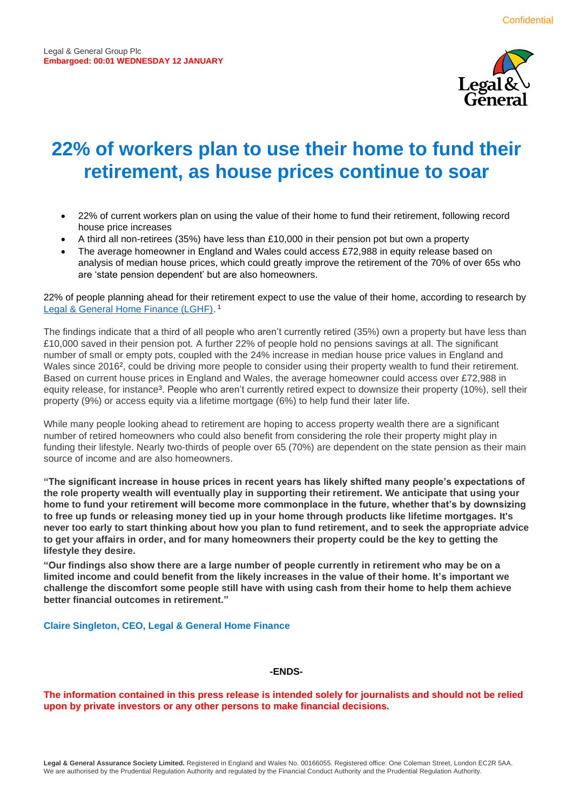

# **22% of workers plan to use their home to fund their retirement, as house prices continue to soar**

- 22% of current workers plan on using the value of their home to fund their retirement, following record house price increases
- A third all non-retirees (35%) have less than £10,000 in their pension pot but own a property
- The average homeowner in England and Wales could access £72,988 in equity release based on analysis of median house prices, which could greatly improve the retirement of the 70% of over 65s who are 'state pension dependent' but are also homeowners.

22% of people planning ahead for their retirement expect to use the value of their home, according to research by [Legal & General Home Finance \(LGHF\).](https://www.legalandgeneral.com/retirement/lifetime-mortgages/)<sup>1</sup>

The findings indicate that a third of all people who aren't currently retired (35%) own a property but have less than £10,000 saved in their pension pot. A further 22% of people hold no pensions savings at all. The significant number of small or empty pots, coupled with the 24% increase in median house price values in England and Wales since 2016<sup>2</sup>, could be driving more people to consider using their property wealth to fund their retirement. Based on current house prices in England and Wales, the average homeowner could access over £72,988 in equity release, for instance<sup>3</sup>. People who aren't currently retired expect to downsize their property (10%), sell their property (9%) or access equity via a lifetime mortgage (6%) to help fund their later life.

While many people looking ahead to retirement are hoping to access property wealth there are a significant number of retired homeowners who could also benefit from considering the role their property might play in funding their lifestyle. Nearly two-thirds of people over 65 (70%) are dependent on the state pension as their main source of income and are also homeowners.

**"The significant increase in house prices in recent years has likely shifted many people's expectations of the role property wealth will eventually play in supporting their retirement. We anticipate that using your home to fund your retirement will become more commonplace in the future, whether that's by downsizing to free up funds or releasing money tied up in your home through products like lifetime mortgages. It's never too early to start thinking about how you plan to fund retirement, and to seek the appropriate advice to get your affairs in order, and for many homeowners their property could be the key to getting the lifestyle they desire.**

**"Our findings also show there are a large number of people currently in retirement who may be on a limited income and could benefit from the likely increases in the value of their home. It's important we challenge the discomfort some people still have with using cash from their home to help them achieve better financial outcomes in retirement."**

## **Claire Singleton, CEO, Legal & General Home Finance**

#### **-ENDS-**

**The information contained in this press release is intended solely for journalists and should not be relied upon by private investors or any other persons to make financial decisions.**